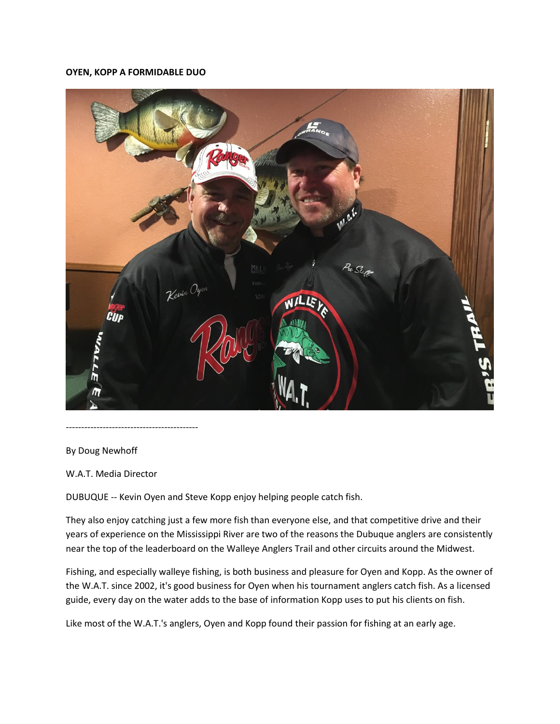## **OYEN, KOPP A FORMIDABLE DUO**



-------------------------------------------

By Doug Newhoff

W.A.T. Media Director

DUBUQUE -- Kevin Oyen and Steve Kopp enjoy helping people catch fish.

They also enjoy catching just a few more fish than everyone else, and that competitive drive and their years of experience on the Mississippi River are two of the reasons the Dubuque anglers are consistently near the top of the leaderboard on the Walleye Anglers Trail and other circuits around the Midwest.

Fishing, and especially walleye fishing, is both business and pleasure for Oyen and Kopp. As the owner of the W.A.T. since 2002, it's good business for Oyen when his tournament anglers catch fish. As a licensed guide, every day on the water adds to the base of information Kopp uses to put his clients on fish.

Like most of the W.A.T.'s anglers, Oyen and Kopp found their passion for fishing at an early age.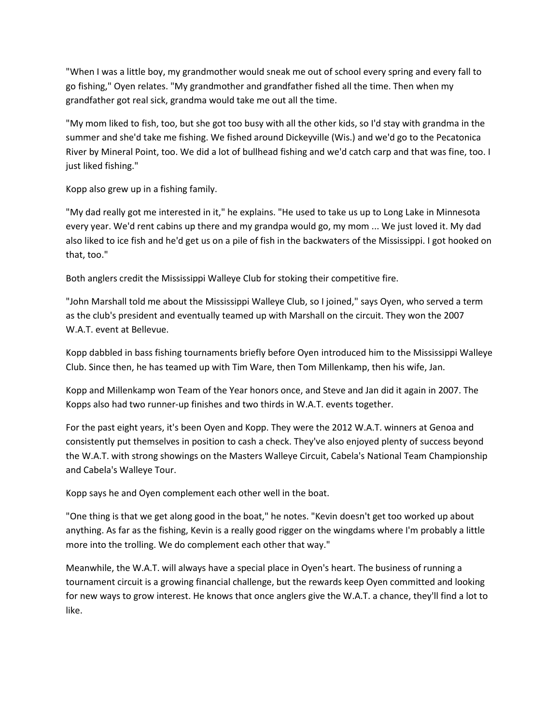"When I was a little boy, my grandmother would sneak me out of school every spring and every fall to go fishing," Oyen relates. "My grandmother and grandfather fished all the time. Then when my grandfather got real sick, grandma would take me out all the time.

"My mom liked to fish, too, but she got too busy with all the other kids, so I'd stay with grandma in the summer and she'd take me fishing. We fished around Dickeyville (Wis.) and we'd go to the Pecatonica River by Mineral Point, too. We did a lot of bullhead fishing and we'd catch carp and that was fine, too. I just liked fishing."

Kopp also grew up in a fishing family.

"My dad really got me interested in it," he explains. "He used to take us up to Long Lake in Minnesota every year. We'd rent cabins up there and my grandpa would go, my mom ... We just loved it. My dad also liked to ice fish and he'd get us on a pile of fish in the backwaters of the Mississippi. I got hooked on that, too."

Both anglers credit the Mississippi Walleye Club for stoking their competitive fire.

"John Marshall told me about the Mississippi Walleye Club, so I joined," says Oyen, who served a term as the club's president and eventually teamed up with Marshall on the circuit. They won the 2007 W.A.T. event at Bellevue.

Kopp dabbled in bass fishing tournaments briefly before Oyen introduced him to the Mississippi Walleye Club. Since then, he has teamed up with Tim Ware, then Tom Millenkamp, then his wife, Jan.

Kopp and Millenkamp won Team of the Year honors once, and Steve and Jan did it again in 2007. The Kopps also had two runner-up finishes and two thirds in W.A.T. events together.

For the past eight years, it's been Oyen and Kopp. They were the 2012 W.A.T. winners at Genoa and consistently put themselves in position to cash a check. They've also enjoyed plenty of success beyond the W.A.T. with strong showings on the Masters Walleye Circuit, Cabela's National Team Championship and Cabela's Walleye Tour.

Kopp says he and Oyen complement each other well in the boat.

"One thing is that we get along good in the boat," he notes. "Kevin doesn't get too worked up about anything. As far as the fishing, Kevin is a really good rigger on the wingdams where I'm probably a little more into the trolling. We do complement each other that way."

Meanwhile, the W.A.T. will always have a special place in Oyen's heart. The business of running a tournament circuit is a growing financial challenge, but the rewards keep Oyen committed and looking for new ways to grow interest. He knows that once anglers give the W.A.T. a chance, they'll find a lot to like.